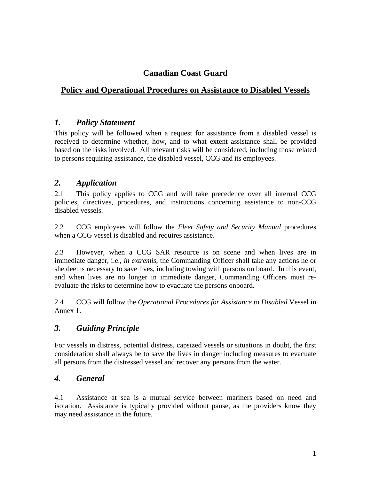# **Canadian Coast Guard**

## **Policy and Operational Procedures on Assistance to Disabled Vessels**

#### *1. Policy Statement*

This policy will be followed when a request for assistance from a disabled vessel is received to determine whether, how, and to what extent assistance shall be provided based on the risks involved. All relevant risks will be considered, including those related to persons requiring assistance, the disabled vessel, CCG and its employees.

#### *2. Application*

2.1 This policy applies to CCG and will take precedence over all internal CCG policies, directives, procedures, and instructions concerning assistance to non-CCG disabled vessels.

2.2 CCG employees will follow the *Fleet Safety and Security Manual* procedures when a CCG vessel is disabled and requires assistance.

2.3 However, when a CCG SAR resource is on scene and when lives are in immediate danger, i.e., *in extremis*, the Commanding Officer shall take any actions he or she deems necessary to save lives, including towing with persons on board. In this event, and when lives are no longer in immediate danger, Commanding Officers must reevaluate the risks to determine how to evacuate the persons onboard.

2.4 CCG will follow the *Operational Procedures for Assistance to Disabled* Vessel in Annex 1.

# *3. Guiding Principle*

For vessels in distress, potential distress, capsized vessels or situations in doubt, the first consideration shall always be to save the lives in danger including measures to evacuate all persons from the distressed vessel and recover any persons from the water.

### *4. General*

4.1 Assistance at sea is a mutual service between mariners based on need and isolation. Assistance is typically provided without pause, as the providers know they may need assistance in the future.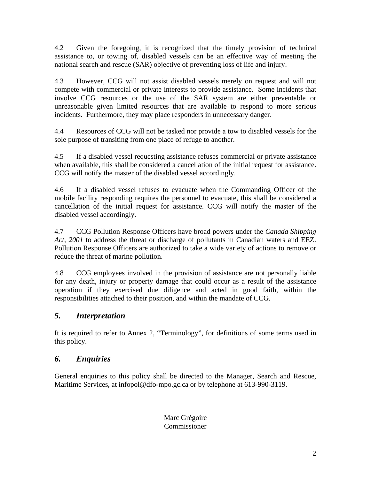4.2 Given the foregoing, it is recognized that the timely provision of technical assistance to, or towing of, disabled vessels can be an effective way of meeting the national search and rescue (SAR) objective of preventing loss of life and injury.

4.3 However, CCG will not assist disabled vessels merely on request and will not compete with commercial or private interests to provide assistance. Some incidents that involve CCG resources or the use of the SAR system are either preventable or unreasonable given limited resources that are available to respond to more serious incidents. Furthermore, they may place responders in unnecessary danger.

4.4 Resources of CCG will not be tasked nor provide a tow to disabled vessels for the sole purpose of transiting from one place of refuge to another.

4.5 If a disabled vessel requesting assistance refuses commercial or private assistance when available, this shall be considered a cancellation of the initial request for assistance. CCG will notify the master of the disabled vessel accordingly.

4.6 If a disabled vessel refuses to evacuate when the Commanding Officer of the mobile facility responding requires the personnel to evacuate, this shall be considered a cancellation of the initial request for assistance. CCG will notify the master of the disabled vessel accordingly.

4.7 CCG Pollution Response Officers have broad powers under the *Canada Shipping Act, 2001* to address the threat or discharge of pollutants in Canadian waters and EEZ. Pollution Response Officers are authorized to take a wide variety of actions to remove or reduce the threat of marine pollution.

4.8 CCG employees involved in the provision of assistance are not personally liable for any death, injury or property damage that could occur as a result of the assistance operation if they exercised due diligence and acted in good faith, within the responsibilities attached to their position, and within the mandate of CCG.

# *5. Interpretation*

It is required to refer to Annex 2, "Terminology", for definitions of some terms used in this policy.

# *6. Enquiries*

General enquiries to this policy shall be directed to the Manager, Search and Rescue, Maritime Services, at infopol@dfo-mpo.gc.ca or by telephone at 613-990-3119.

> Marc Grégoire Commissioner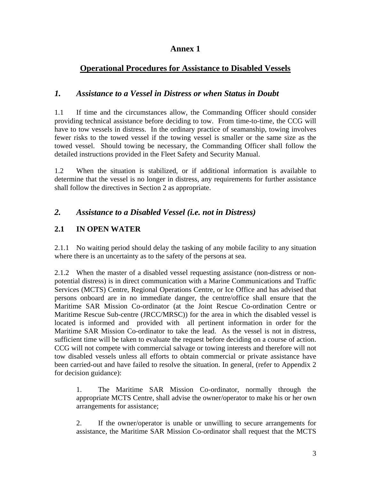### **Annex 1**

# **Operational Procedures for Assistance to Disabled Vessels**

### *1. Assistance to a Vessel in Distress or when Status in Doubt*

1.1 If time and the circumstances allow, the Commanding Officer should consider providing technical assistance before deciding to tow. From time-to-time, the CCG will have to tow vessels in distress. In the ordinary practice of seamanship, towing involves fewer risks to the towed vessel if the towing vessel is smaller or the same size as the towed vessel. Should towing be necessary, the Commanding Officer shall follow the detailed instructions provided in the Fleet Safety and Security Manual.

1.2 When the situation is stabilized, or if additional information is available to determine that the vessel is no longer in distress, any requirements for further assistance shall follow the directives in Section 2 as appropriate.

# *2. Assistance to a Disabled Vessel (i.e. not in Distress)*

# **2.1 IN OPEN WATER**

2.1.1 No waiting period should delay the tasking of any mobile facility to any situation where there is an uncertainty as to the safety of the persons at sea.

2.1.2 When the master of a disabled vessel requesting assistance (non-distress or nonpotential distress) is in direct communication with a Marine Communications and Traffic Services (MCTS) Centre, Regional Operations Centre, or Ice Office and has advised that persons onboard are in no immediate danger, the centre/office shall ensure that the Maritime SAR Mission Co-ordinator (at the Joint Rescue Co-ordination Centre or Maritime Rescue Sub-centre (JRCC/MRSC)) for the area in which the disabled vessel is located is informed and provided with all pertinent information in order for the Maritime SAR Mission Co-ordinator to take the lead. As the vessel is not in distress, sufficient time will be taken to evaluate the request before deciding on a course of action. CCG will not compete with commercial salvage or towing interests and therefore will not tow disabled vessels unless all efforts to obtain commercial or private assistance have been carried-out and have failed to resolve the situation. In general, (refer to Appendix 2 for decision guidance):

1. The Maritime SAR Mission Co-ordinator, normally through the appropriate MCTS Centre, shall advise the owner/operator to make his or her own arrangements for assistance;

2. If the owner/operator is unable or unwilling to secure arrangements for assistance, the Maritime SAR Mission Co-ordinator shall request that the MCTS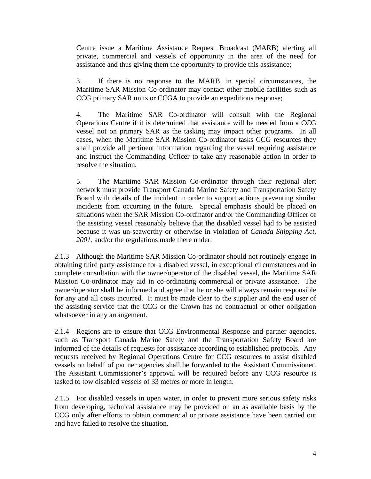Centre issue a Maritime Assistance Request Broadcast (MARB) alerting all private, commercial and vessels of opportunity in the area of the need for assistance and thus giving them the opportunity to provide this assistance;

3. If there is no response to the MARB, in special circumstances, the Maritime SAR Mission Co-ordinator may contact other mobile facilities such as CCG primary SAR units or CCGA to provide an expeditious response;

4. The Maritime SAR Co-ordinator will consult with the Regional Operations Centre if it is determined that assistance will be needed from a CCG vessel not on primary SAR as the tasking may impact other programs. In all cases, when the Maritime SAR Mission Co-ordinator tasks CCG resources they shall provide all pertinent information regarding the vessel requiring assistance and instruct the Commanding Officer to take any reasonable action in order to resolve the situation.

5. The Maritime SAR Mission Co-ordinator through their regional alert network must provide Transport Canada Marine Safety and Transportation Safety Board with details of the incident in order to support actions preventing similar incidents from occurring in the future. Special emphasis should be placed on situations when the SAR Mission Co-ordinator and/or the Commanding Officer of the assisting vessel reasonably believe that the disabled vessel had to be assisted because it was un-seaworthy or otherwise in violation of *Canada Shipping Act, 2001*, and/or the regulations made there under.

2.1.3 Although the Maritime SAR Mission Co-ordinator should not routinely engage in obtaining third party assistance for a disabled vessel, in exceptional circumstances and in complete consultation with the owner/operator of the disabled vessel, the Maritime SAR Mission Co-ordinator may aid in co-ordinating commercial or private assistance. The owner/operator shall be informed and agree that he or she will always remain responsible for any and all costs incurred. It must be made clear to the supplier and the end user of the assisting service that the CCG or the Crown has no contractual or other obligation whatsoever in any arrangement.

2.1.4 Regions are to ensure that CCG Environmental Response and partner agencies, such as Transport Canada Marine Safety and the Transportation Safety Board are informed of the details of requests for assistance according to established protocols. Any requests received by Regional Operations Centre for CCG resources to assist disabled vessels on behalf of partner agencies shall be forwarded to the Assistant Commissioner. The Assistant Commissioner's approval will be required before any CCG resource is tasked to tow disabled vessels of 33 metres or more in length.

2.1.5 For disabled vessels in open water, in order to prevent more serious safety risks from developing, technical assistance may be provided on an as available basis by the CCG only after efforts to obtain commercial or private assistance have been carried out and have failed to resolve the situation.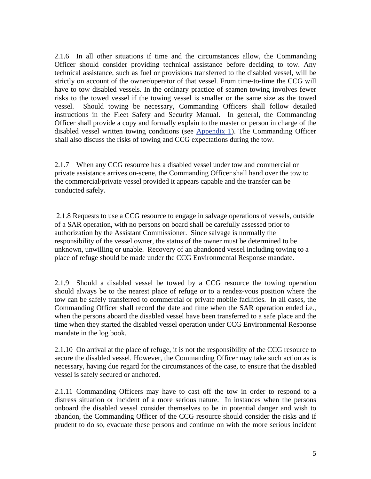2.1.6 In all other situations if time and the circumstances allow, the Commanding Officer should consider providing technical assistance before deciding to tow. Any technical assistance, such as fuel or provisions transferred to the disabled vessel, will be strictly on account of the owner/operator of that vessel. From time-to-time the CCG will have to tow disabled vessels. In the ordinary practice of seamen towing involves fewer risks to the towed vessel if the towing vessel is smaller or the same size as the towed vessel. Should towing be necessary, Commanding Officers shall follow detailed instructions in the Fleet Safety and Security Manual. In general, the Commanding Officer shall provide a copy and formally explain to the master or person in charge of the disabled vessel written towing conditions (see Appendix 1). The Commanding Officer shall also discuss the risks of towing and CCG expectations during the tow.

2.1.7 When any CCG resource has a disabled vessel under tow and commercial or private assistance arrives on-scene, the Commanding Officer shall hand over the tow to the commercial/private vessel provided it appears capable and the transfer can be conducted safely.

2.1.8 Requests to use a CCG resource to engage in salvage operations of vessels, outside of a SAR operation, with no persons on board shall be carefully assessed prior to authorization by the Assistant Commissioner. Since salvage is normally the responsibility of the vessel owner, the status of the owner must be determined to be unknown, unwilling or unable. Recovery of an abandoned vessel including towing to a place of refuge should be made under the CCG Environmental Response mandate.

2.1.9 Should a disabled vessel be towed by a CCG resource the towing operation should always be to the nearest place of refuge or to a rendez-vous position where the tow can be safely transferred to commercial or private mobile facilities. In all cases, the Commanding Officer shall record the date and time when the SAR operation ended i.e., when the persons aboard the disabled vessel have been transferred to a safe place and the time when they started the disabled vessel operation under CCG Environmental Response mandate in the log book.

2.1.10 On arrival at the place of refuge, it is not the responsibility of the CCG resource to secure the disabled vessel. However, the Commanding Officer may take such action as is necessary, having due regard for the circumstances of the case, to ensure that the disabled vessel is safely secured or anchored.

2.1.11 Commanding Officers may have to cast off the tow in order to respond to a distress situation or incident of a more serious nature. In instances when the persons onboard the disabled vessel consider themselves to be in potential danger and wish to abandon, the Commanding Officer of the CCG resource should consider the risks and if prudent to do so, evacuate these persons and continue on with the more serious incident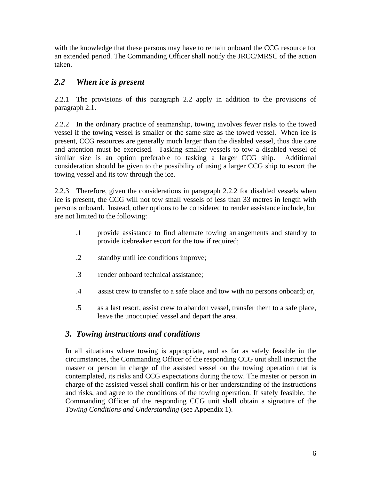with the knowledge that these persons may have to remain onboard the CCG resource for an extended period. The Commanding Officer shall notify the JRCC/MRSC of the action taken.

### *2.2 When ice is present*

2.2.1 The provisions of this paragraph 2.2 apply in addition to the provisions of paragraph 2.1.

2.2.2 In the ordinary practice of seamanship, towing involves fewer risks to the towed vessel if the towing vessel is smaller or the same size as the towed vessel. When ice is present, CCG resources are generally much larger than the disabled vessel, thus due care and attention must be exercised. Tasking smaller vessels to tow a disabled vessel of similar size is an option preferable to tasking a larger CCG ship. Additional consideration should be given to the possibility of using a larger CCG ship to escort the towing vessel and its tow through the ice.

2.2.3 Therefore, given the considerations in paragraph 2.2.2 for disabled vessels when ice is present, the CCG will not tow small vessels of less than 33 metres in length with persons onboard. Instead, other options to be considered to render assistance include, but are not limited to the following:

- .1 provide assistance to find alternate towing arrangements and standby to provide icebreaker escort for the tow if required;
- .2 standby until ice conditions improve;
- .3 render onboard technical assistance;
- .4 assist crew to transfer to a safe place and tow with no persons onboard; or,
- .5 as a last resort, assist crew to abandon vessel, transfer them to a safe place, leave the unoccupied vessel and depart the area.

### *3. Towing instructions and conditions*

In all situations where towing is appropriate, and as far as safely feasible in the circumstances, the Commanding Officer of the responding CCG unit shall instruct the master or person in charge of the assisted vessel on the towing operation that is contemplated, its risks and CCG expectations during the tow. The master or person in charge of the assisted vessel shall confirm his or her understanding of the instructions and risks, and agree to the conditions of the towing operation. If safely feasible, the Commanding Officer of the responding CCG unit shall obtain a signature of the *Towing Conditions and Understanding* (see Appendix 1).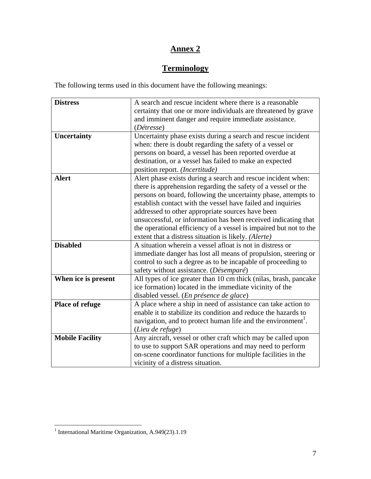# **Annex 2**

# **Terminology**

The following terms used in this document have the following meanings:

| <b>Distress</b>        | A search and rescue incident where there is a reasonable                 |
|------------------------|--------------------------------------------------------------------------|
|                        | certainty that one or more individuals are threatened by grave           |
|                        | and imminent danger and require immediate assistance.                    |
|                        | (Détresse)                                                               |
| <b>Uncertainty</b>     | Uncertainty phase exists during a search and rescue incident             |
|                        | when: there is doubt regarding the safety of a vessel or                 |
|                        | persons on board, a vessel has been reported overdue at                  |
|                        | destination, or a vessel has failed to make an expected                  |
|                        | position report. (Incertitude)                                           |
| <b>Alert</b>           | Alert phase exists during a search and rescue incident when:             |
|                        | there is apprehension regarding the safety of a vessel or the            |
|                        | persons on board, following the uncertainty phase, attempts to           |
|                        | establish contact with the vessel have failed and inquiries              |
|                        | addressed to other appropriate sources have been                         |
|                        | unsuccessful, or information has been received indicating that           |
|                        | the operational efficiency of a vessel is impaired but not to the        |
|                        | extent that a distress situation is likely. (Alerte)                     |
| <b>Disabled</b>        | A situation wherein a vessel afloat is not in distress or                |
|                        | immediate danger has lost all means of propulsion, steering or           |
|                        | control to such a degree as to be incapable of proceeding to             |
|                        | safety without assistance. (Désemparé)                                   |
| When ice is present    | All types of ice greater than 10 cm thick (nilas, brash, pancake         |
|                        | ice formation) located in the immediate vicinity of the                  |
|                        | disabled vessel. (En présence de glace)                                  |
| Place of refuge        | A place where a ship in need of assistance can take action to            |
|                        | enable it to stabilize its condition and reduce the hazards to           |
|                        | navigation, and to protect human life and the environment <sup>1</sup> . |
|                        | (Lieu de refuge)                                                         |
| <b>Mobile Facility</b> | Any aircraft, vessel or other craft which may be called upon             |
|                        | to use to support SAR operations and may need to perform                 |
|                        | on-scene coordinator functions for multiple facilities in the            |
|                        | vicinity of a distress situation.                                        |

 1 International Maritime Organization, A.949(23).1.19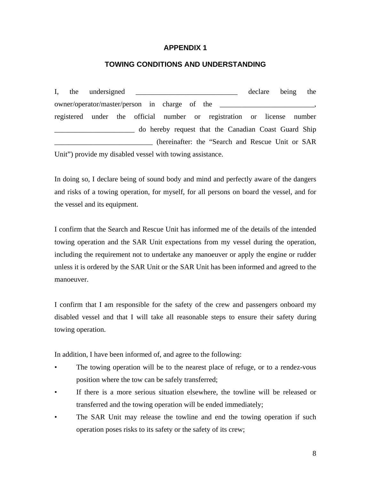#### **APPENDIX 1**

#### **TOWING CONDITIONS AND UNDERSTANDING**

I, the undersigned \_\_\_\_\_\_\_\_\_\_\_\_\_\_\_\_\_\_\_\_\_\_\_\_\_\_\_\_ declare being the owner/operator/master/person in charge of the \_\_\_\_\_\_\_\_\_\_\_\_\_\_\_\_\_\_\_\_\_\_\_\_\_\_\_\_\_\_\_\_\_\_ registered under the official number or registration or license number Latter and the Canadian Coast Guard Ship \_\_\_\_\_\_\_\_\_\_\_\_\_\_\_\_\_\_\_\_\_\_\_\_\_\_\_ (hereinafter: the "Search and Rescue Unit or SAR Unit") provide my disabled vessel with towing assistance.

In doing so, I declare being of sound body and mind and perfectly aware of the dangers and risks of a towing operation, for myself, for all persons on board the vessel, and for the vessel and its equipment.

I confirm that the Search and Rescue Unit has informed me of the details of the intended towing operation and the SAR Unit expectations from my vessel during the operation, including the requirement not to undertake any manoeuver or apply the engine or rudder unless it is ordered by the SAR Unit or the SAR Unit has been informed and agreed to the manoeuver.

I confirm that I am responsible for the safety of the crew and passengers onboard my disabled vessel and that I will take all reasonable steps to ensure their safety during towing operation.

In addition, I have been informed of, and agree to the following:

- The towing operation will be to the nearest place of refuge, or to a rendez-vous position where the tow can be safely transferred;
- If there is a more serious situation elsewhere, the towline will be released or transferred and the towing operation will be ended immediately;
- The SAR Unit may release the towline and end the towing operation if such operation poses risks to its safety or the safety of its crew;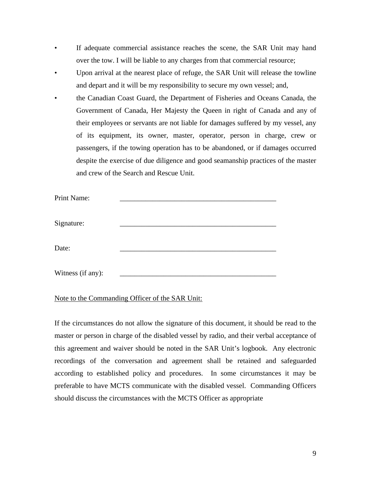- If adequate commercial assistance reaches the scene, the SAR Unit may hand over the tow. I will be liable to any charges from that commercial resource;
- Upon arrival at the nearest place of refuge, the SAR Unit will release the towline and depart and it will be my responsibility to secure my own vessel; and,
- the Canadian Coast Guard, the Department of Fisheries and Oceans Canada, the Government of Canada, Her Majesty the Queen in right of Canada and any of their employees or servants are not liable for damages suffered by my vessel, any of its equipment, its owner, master, operator, person in charge, crew or passengers, if the towing operation has to be abandoned, or if damages occurred despite the exercise of due diligence and good seamanship practices of the master and crew of the Search and Rescue Unit.

| Print Name:       |  |
|-------------------|--|
| Signature:        |  |
| Date:             |  |
| Witness (if any): |  |

#### Note to the Commanding Officer of the SAR Unit:

If the circumstances do not allow the signature of this document, it should be read to the master or person in charge of the disabled vessel by radio, and their verbal acceptance of this agreement and waiver should be noted in the SAR Unit's logbook. Any electronic recordings of the conversation and agreement shall be retained and safeguarded according to established policy and procedures. In some circumstances it may be preferable to have MCTS communicate with the disabled vessel. Commanding Officers should discuss the circumstances with the MCTS Officer as appropriate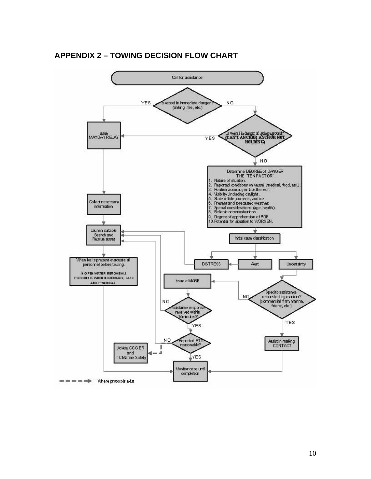#### **APPENDIX 2 – TOWING DECISION FLOW CHART**

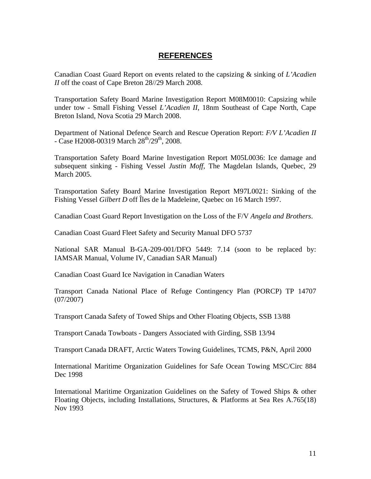#### **REFERENCES**

Canadian Coast Guard Report on events related to the capsizing & sinking of *L'Acadien II* off the coast of Cape Breton 28//29 March 2008.

Transportation Safety Board Marine Investigation Report M08M0010: Capsizing while under tow - Small Fishing Vessel *L'Acadien II*, 18nm Southeast of Cape North, Cape Breton Island, Nova Scotia 29 March 2008.

Department of National Defence Search and Rescue Operation Report: *F/V L'Acadien II*  $-$  Case H2008-00319 March  $28^{th}/29^{th}$ , 2008.

Transportation Safety Board Marine Investigation Report M05L0036: Ice damage and subsequent sinking - Fishing Vessel *Justin Moff,* The Magdelan Islands, Quebec, 29 March 2005.

Transportation Safety Board Marine Investigation Report M97L0021: Sinking of the Fishing Vessel *Gilbert D* off Îles de la Madeleine, Quebec on 16 March 1997.

Canadian Coast Guard Report Investigation on the Loss of the F/V *Angela and Brothers*.

Canadian Coast Guard Fleet Safety and Security Manual DFO 5737

National SAR Manual B-GA-209-001/DFO 5449: 7.14 (soon to be replaced by: IAMSAR Manual, Volume IV, Canadian SAR Manual)

Canadian Coast Guard Ice Navigation in Canadian Waters

Transport Canada National Place of Refuge Contingency Plan (PORCP) TP 14707 (07/2007)

Transport Canada Safety of Towed Ships and Other Floating Objects, SSB 13/88

Transport Canada Towboats - Dangers Associated with Girding, SSB 13/94

Transport Canada DRAFT, Arctic Waters Towing Guidelines, TCMS, P&N, April 2000

International Maritime Organization Guidelines for Safe Ocean Towing MSC/Circ 884 Dec 1998

International Maritime Organization Guidelines on the Safety of Towed Ships & other Floating Objects, including Installations, Structures, & Platforms at Sea Res A.765(18) Nov 1993